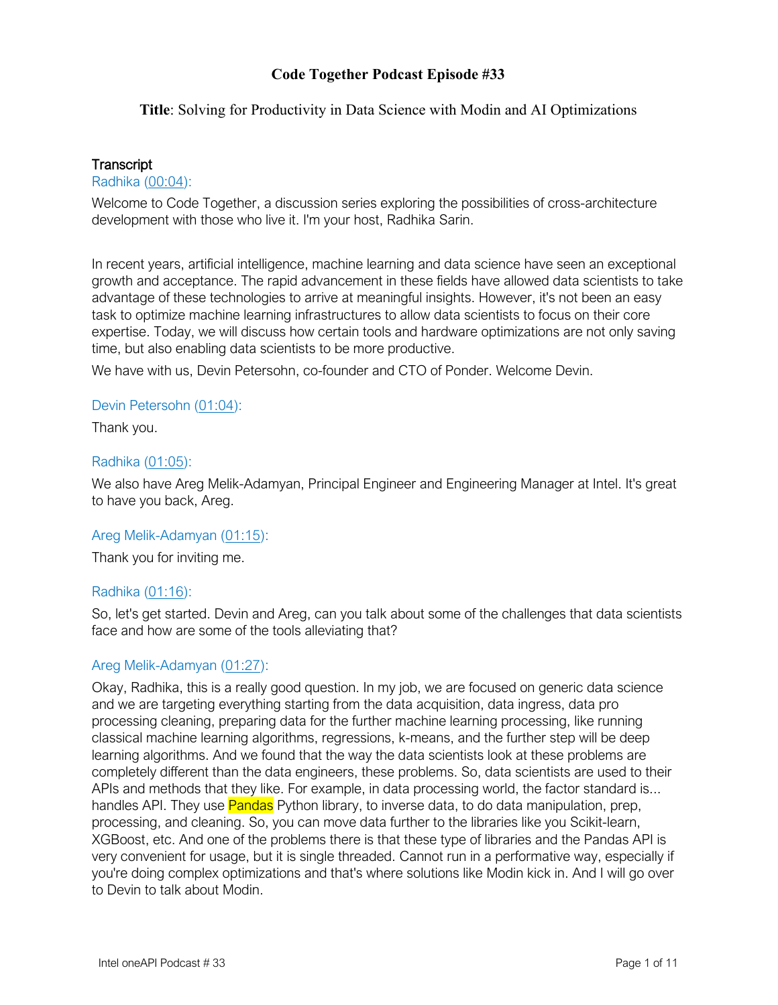### **Title**: Solving for Productivity in Data Science with Modin and AI Optimizations

### **Transcript**

#### Radhika (00:04):

Welcome to Code Together, a discussion series exploring the possibilities of cross-architecture development with those who live it. I'm your host, Radhika Sarin.

In recent years, artificial intelligence, machine learning and data science have seen an exceptional growth and acceptance. The rapid advancement in these fields have allowed data scientists to take advantage of these technologies to arrive at meaningful insights. However, it's not been an easy task to optimize machine learning infrastructures to allow data scientists to focus on their core expertise. Today, we will discuss how certain tools and hardware optimizations are not only saving time, but also enabling data scientists to be more productive.

We have with us, Devin Petersohn, co-founder and CTO of Ponder. Welcome Devin.

#### Devin Petersohn (01:04):

Thank you.

#### Radhika (01:05):

We also have Areg Melik-Adamyan, Principal Engineer and Engineering Manager at Intel. It's great to have you back, Areg.

#### Areg Melik-Adamyan (01:15):

Thank you for inviting me.

# Radhika (01:16):

So, let's get started. Devin and Areg, can you talk about some of the challenges that data scientists face and how are some of the tools alleviating that?

# Areg Melik-Adamyan (01:27):

Okay, Radhika, this is a really good question. In my job, we are focused on generic data science and we are targeting everything starting from the data acquisition, data ingress, data pro processing cleaning, preparing data for the further machine learning processing, like running classical machine learning algorithms, regressions, k-means, and the further step will be deep learning algorithms. And we found that the way the data scientists look at these problems are completely different than the data engineers, these problems. So, data scientists are used to their APIs and methods that they like. For example, in data processing world, the factor standard is... handles API. They use **Pandas** Python library, to inverse data, to do data manipulation, prep, processing, and cleaning. So, you can move data further to the libraries like you Scikit-learn, XGBoost, etc. And one of the problems there is that these type of libraries and the Pandas API is very convenient for usage, but it is single threaded. Cannot run in a performative way, especially if you're doing complex optimizations and that's where solutions like Modin kick in. And I will go over to Devin to talk about Modin.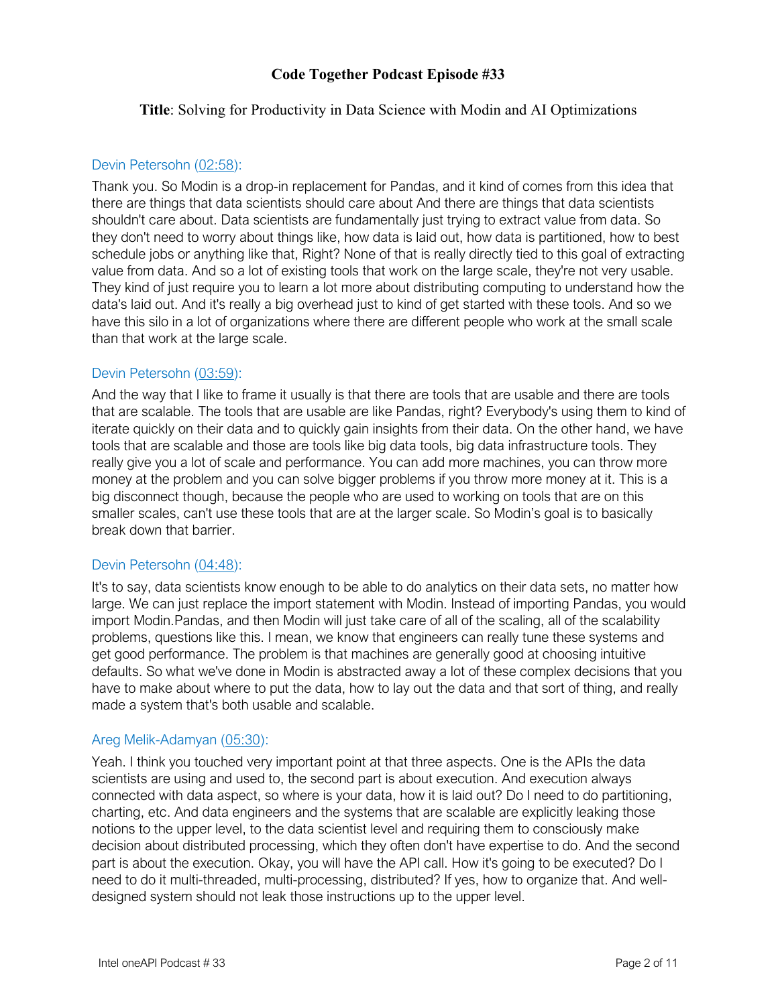### **Title**: Solving for Productivity in Data Science with Modin and AI Optimizations

#### Devin Petersohn (02:58):

Thank you. So Modin is a drop-in replacement for Pandas, and it kind of comes from this idea that there are things that data scientists should care about And there are things that data scientists shouldn't care about. Data scientists are fundamentally just trying to extract value from data. So they don't need to worry about things like, how data is laid out, how data is partitioned, how to best schedule jobs or anything like that, Right? None of that is really directly tied to this goal of extracting value from data. And so a lot of existing tools that work on the large scale, they're not very usable. They kind of just require you to learn a lot more about distributing computing to understand how the data's laid out. And it's really a big overhead just to kind of get started with these tools. And so we have this silo in a lot of organizations where there are different people who work at the small scale than that work at the large scale.

# Devin Petersohn (03:59):

And the way that I like to frame it usually is that there are tools that are usable and there are tools that are scalable. The tools that are usable are like Pandas, right? Everybody's using them to kind of iterate quickly on their data and to quickly gain insights from their data. On the other hand, we have tools that are scalable and those are tools like big data tools, big data infrastructure tools. They really give you a lot of scale and performance. You can add more machines, you can throw more money at the problem and you can solve bigger problems if you throw more money at it. This is a big disconnect though, because the people who are used to working on tools that are on this smaller scales, can't use these tools that are at the larger scale. So Modin's goal is to basically break down that barrier.

#### Devin Petersohn (04:48):

It's to say, data scientists know enough to be able to do analytics on their data sets, no matter how large. We can just replace the import statement with Modin. Instead of importing Pandas, you would import Modin.Pandas, and then Modin will just take care of all of the scaling, all of the scalability problems, questions like this. I mean, we know that engineers can really tune these systems and get good performance. The problem is that machines are generally good at choosing intuitive defaults. So what we've done in Modin is abstracted away a lot of these complex decisions that you have to make about where to put the data, how to lay out the data and that sort of thing, and really made a system that's both usable and scalable.

# Areg Melik-Adamyan (05:30):

Yeah. I think you touched very important point at that three aspects. One is the APIs the data scientists are using and used to, the second part is about execution. And execution always connected with data aspect, so where is your data, how it is laid out? Do I need to do partitioning, charting, etc. And data engineers and the systems that are scalable are explicitly leaking those notions to the upper level, to the data scientist level and requiring them to consciously make decision about distributed processing, which they often don't have expertise to do. And the second part is about the execution. Okay, you will have the API call. How it's going to be executed? Do I need to do it multi-threaded, multi-processing, distributed? If yes, how to organize that. And welldesigned system should not leak those instructions up to the upper level.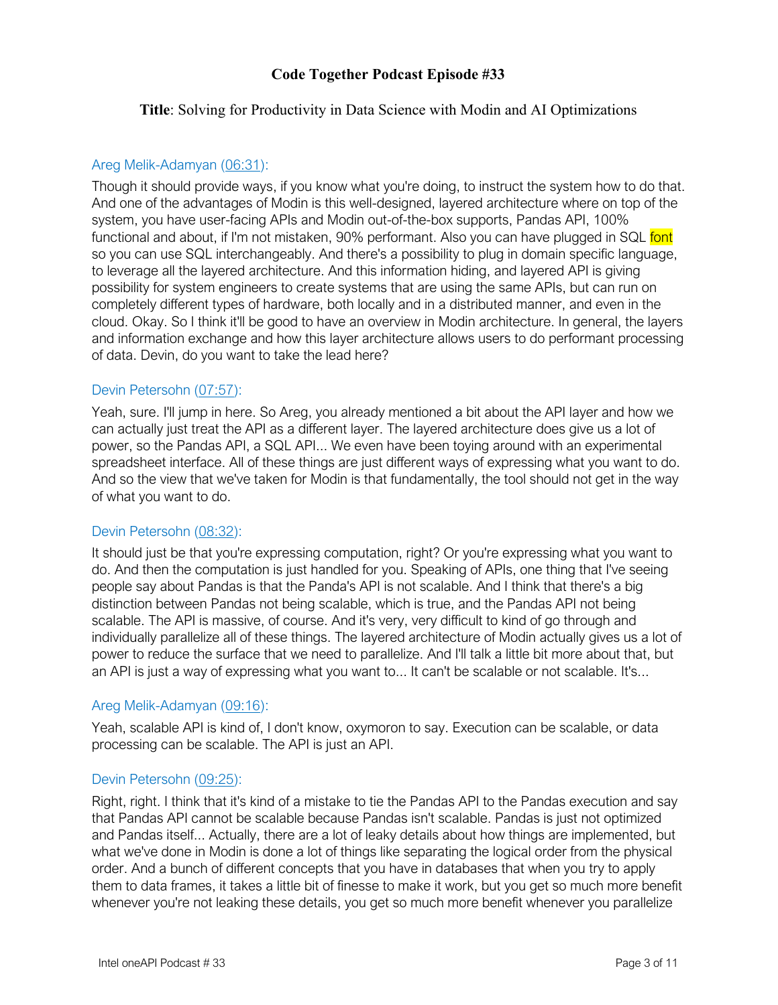### **Title**: Solving for Productivity in Data Science with Modin and AI Optimizations

### Areg Melik-Adamyan (06:31):

Though it should provide ways, if you know what you're doing, to instruct the system how to do that. And one of the advantages of Modin is this well-designed, layered architecture where on top of the system, you have user-facing APIs and Modin out-of-the-box supports, Pandas API, 100% functional and about, if I'm not mistaken, 90% performant. Also you can have plugged in SQL font so you can use SQL interchangeably. And there's a possibility to plug in domain specific language, to leverage all the layered architecture. And this information hiding, and layered API is giving possibility for system engineers to create systems that are using the same APIs, but can run on completely different types of hardware, both locally and in a distributed manner, and even in the cloud. Okay. So I think it'll be good to have an overview in Modin architecture. In general, the layers and information exchange and how this layer architecture allows users to do performant processing of data. Devin, do you want to take the lead here?

### Devin Petersohn (07:57):

Yeah, sure. I'll jump in here. So Areg, you already mentioned a bit about the API layer and how we can actually just treat the API as a different layer. The layered architecture does give us a lot of power, so the Pandas API, a SQL API... We even have been toying around with an experimental spreadsheet interface. All of these things are just different ways of expressing what you want to do. And so the view that we've taken for Modin is that fundamentally, the tool should not get in the way of what you want to do.

# Devin Petersohn (08:32):

It should just be that you're expressing computation, right? Or you're expressing what you want to do. And then the computation is just handled for you. Speaking of APIs, one thing that I've seeing people say about Pandas is that the Panda's API is not scalable. And I think that there's a big distinction between Pandas not being scalable, which is true, and the Pandas API not being scalable. The API is massive, of course. And it's very, very difficult to kind of go through and individually parallelize all of these things. The layered architecture of Modin actually gives us a lot of power to reduce the surface that we need to parallelize. And I'll talk a little bit more about that, but an API is just a way of expressing what you want to... It can't be scalable or not scalable. It's...

#### Areg Melik-Adamyan (09:16):

Yeah, scalable API is kind of, I don't know, oxymoron to say. Execution can be scalable, or data processing can be scalable. The API is just an API.

#### Devin Petersohn (09:25):

Right, right. I think that it's kind of a mistake to tie the Pandas API to the Pandas execution and say that Pandas API cannot be scalable because Pandas isn't scalable. Pandas is just not optimized and Pandas itself... Actually, there are a lot of leaky details about how things are implemented, but what we've done in Modin is done a lot of things like separating the logical order from the physical order. And a bunch of different concepts that you have in databases that when you try to apply them to data frames, it takes a little bit of finesse to make it work, but you get so much more benefit whenever you're not leaking these details, you get so much more benefit whenever you parallelize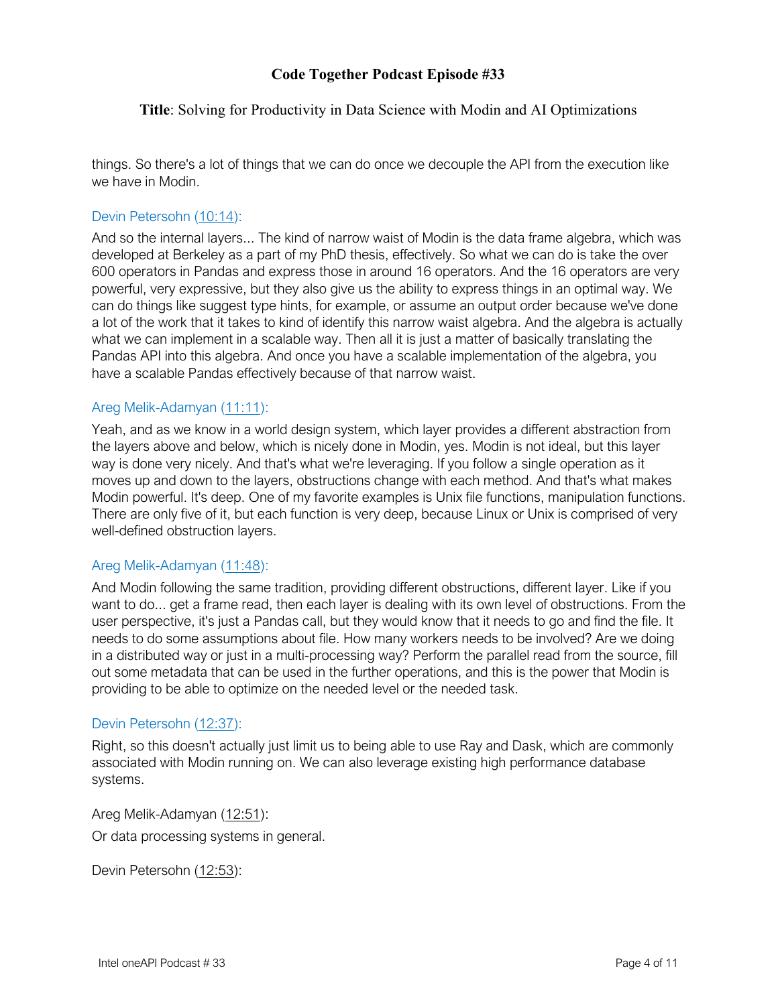### **Title**: Solving for Productivity in Data Science with Modin and AI Optimizations

things. So there's a lot of things that we can do once we decouple the API from the execution like we have in Modin.

### Devin Petersohn (10:14):

And so the internal layers... The kind of narrow waist of Modin is the data frame algebra, which was developed at Berkeley as a part of my PhD thesis, effectively. So what we can do is take the over 600 operators in Pandas and express those in around 16 operators. And the 16 operators are very powerful, very expressive, but they also give us the ability to express things in an optimal way. We can do things like suggest type hints, for example, or assume an output order because we've done a lot of the work that it takes to kind of identify this narrow waist algebra. And the algebra is actually what we can implement in a scalable way. Then all it is just a matter of basically translating the Pandas API into this algebra. And once you have a scalable implementation of the algebra, you have a scalable Pandas effectively because of that narrow waist.

#### Areg Melik-Adamyan (11:11):

Yeah, and as we know in a world design system, which layer provides a different abstraction from the layers above and below, which is nicely done in Modin, yes. Modin is not ideal, but this layer way is done very nicely. And that's what we're leveraging. If you follow a single operation as it moves up and down to the layers, obstructions change with each method. And that's what makes Modin powerful. It's deep. One of my favorite examples is Unix file functions, manipulation functions. There are only five of it, but each function is very deep, because Linux or Unix is comprised of very well-defined obstruction layers.

#### Areg Melik-Adamyan (11:48):

And Modin following the same tradition, providing different obstructions, different layer. Like if you want to do... get a frame read, then each layer is dealing with its own level of obstructions. From the user perspective, it's just a Pandas call, but they would know that it needs to go and find the file. It needs to do some assumptions about file. How many workers needs to be involved? Are we doing in a distributed way or just in a multi-processing way? Perform the parallel read from the source, fill out some metadata that can be used in the further operations, and this is the power that Modin is providing to be able to optimize on the needed level or the needed task.

#### Devin Petersohn (12:37):

Right, so this doesn't actually just limit us to being able to use Ray and Dask, which are commonly associated with Modin running on. We can also leverage existing high performance database systems.

Areg Melik-Adamyan (12:51): Or data processing systems in general.

Devin Petersohn (12:53):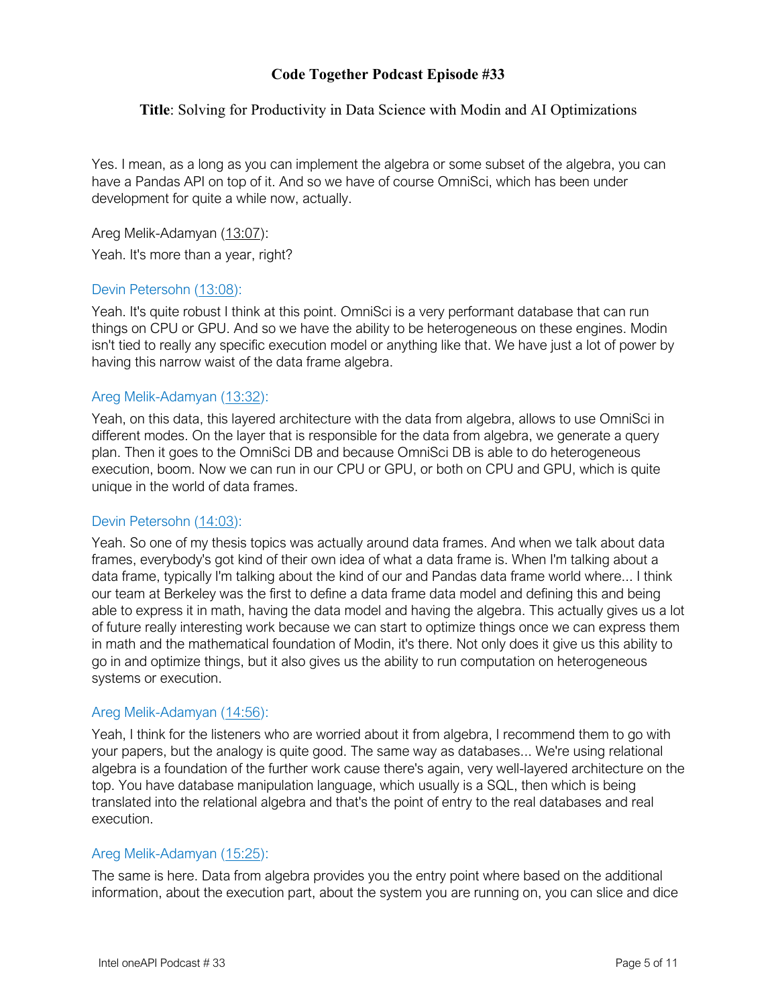### **Title**: Solving for Productivity in Data Science with Modin and AI Optimizations

Yes. I mean, as a long as you can implement the algebra or some subset of the algebra, you can have a Pandas API on top of it. And so we have of course OmniSci, which has been under development for quite a while now, actually.

Areg Melik-Adamyan (13:07): Yeah. It's more than a year, right?

### Devin Petersohn (13:08):

Yeah. It's quite robust I think at this point. OmniSci is a very performant database that can run things on CPU or GPU. And so we have the ability to be heterogeneous on these engines. Modin isn't tied to really any specific execution model or anything like that. We have just a lot of power by having this narrow waist of the data frame algebra.

### Areg Melik-Adamyan (13:32):

Yeah, on this data, this layered architecture with the data from algebra, allows to use OmniSci in different modes. On the layer that is responsible for the data from algebra, we generate a query plan. Then it goes to the OmniSci DB and because OmniSci DB is able to do heterogeneous execution, boom. Now we can run in our CPU or GPU, or both on CPU and GPU, which is quite unique in the world of data frames.

#### Devin Petersohn (14:03):

Yeah. So one of my thesis topics was actually around data frames. And when we talk about data frames, everybody's got kind of their own idea of what a data frame is. When I'm talking about a data frame, typically I'm talking about the kind of our and Pandas data frame world where... I think our team at Berkeley was the first to define a data frame data model and defining this and being able to express it in math, having the data model and having the algebra. This actually gives us a lot of future really interesting work because we can start to optimize things once we can express them in math and the mathematical foundation of Modin, it's there. Not only does it give us this ability to go in and optimize things, but it also gives us the ability to run computation on heterogeneous systems or execution.

#### Areg Melik-Adamyan (14:56):

Yeah, I think for the listeners who are worried about it from algebra, I recommend them to go with your papers, but the analogy is quite good. The same way as databases... We're using relational algebra is a foundation of the further work cause there's again, very well-layered architecture on the top. You have database manipulation language, which usually is a SQL, then which is being translated into the relational algebra and that's the point of entry to the real databases and real execution.

# Areg Melik-Adamyan (15:25):

The same is here. Data from algebra provides you the entry point where based on the additional information, about the execution part, about the system you are running on, you can slice and dice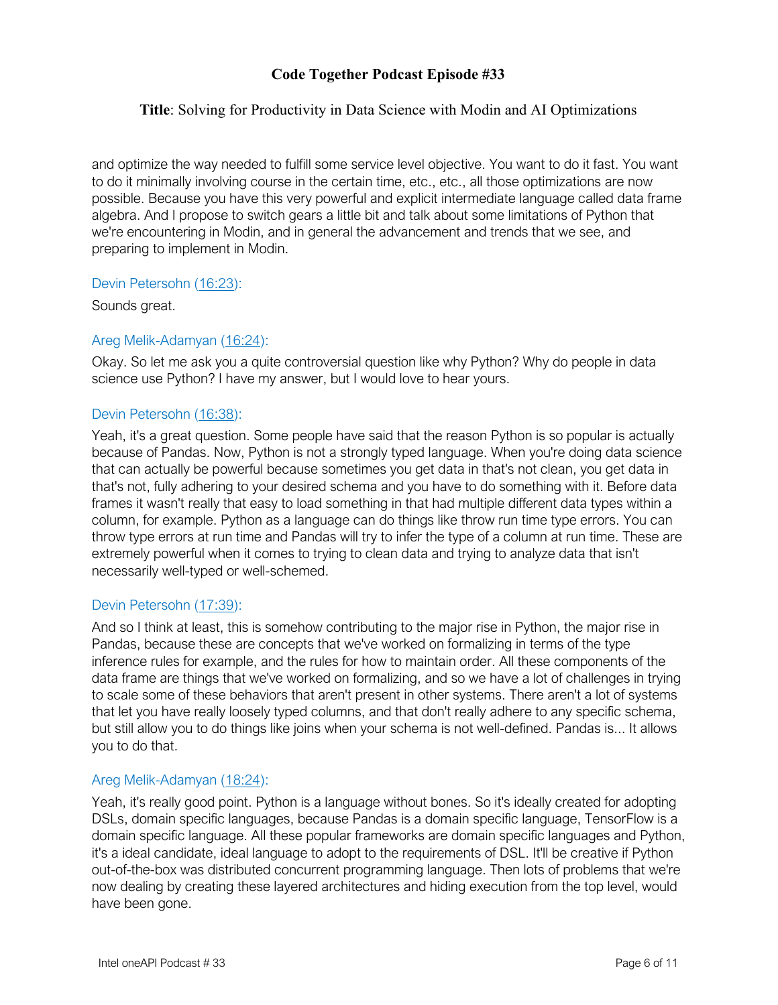### **Title**: Solving for Productivity in Data Science with Modin and AI Optimizations

and optimize the way needed to fulfill some service level objective. You want to do it fast. You want to do it minimally involving course in the certain time, etc., etc., all those optimizations are now possible. Because you have this very powerful and explicit intermediate language called data frame algebra. And I propose to switch gears a little bit and talk about some limitations of Python that we're encountering in Modin, and in general the advancement and trends that we see, and preparing to implement in Modin.

#### Devin Petersohn (16:23):

Sounds great.

# Areg Melik-Adamyan (16:24):

Okay. So let me ask you a quite controversial question like why Python? Why do people in data science use Python? I have my answer, but I would love to hear yours.

# Devin Petersohn (16:38):

Yeah, it's a great question. Some people have said that the reason Python is so popular is actually because of Pandas. Now, Python is not a strongly typed language. When you're doing data science that can actually be powerful because sometimes you get data in that's not clean, you get data in that's not, fully adhering to your desired schema and you have to do something with it. Before data frames it wasn't really that easy to load something in that had multiple different data types within a column, for example. Python as a language can do things like throw run time type errors. You can throw type errors at run time and Pandas will try to infer the type of a column at run time. These are extremely powerful when it comes to trying to clean data and trying to analyze data that isn't necessarily well-typed or well-schemed.

# Devin Petersohn (17:39):

And so I think at least, this is somehow contributing to the major rise in Python, the major rise in Pandas, because these are concepts that we've worked on formalizing in terms of the type inference rules for example, and the rules for how to maintain order. All these components of the data frame are things that we've worked on formalizing, and so we have a lot of challenges in trying to scale some of these behaviors that aren't present in other systems. There aren't a lot of systems that let you have really loosely typed columns, and that don't really adhere to any specific schema, but still allow you to do things like joins when your schema is not well-defined. Pandas is... It allows you to do that.

# Areg Melik-Adamyan (18:24):

Yeah, it's really good point. Python is a language without bones. So it's ideally created for adopting DSLs, domain specific languages, because Pandas is a domain specific language, TensorFlow is a domain specific language. All these popular frameworks are domain specific languages and Python, it's a ideal candidate, ideal language to adopt to the requirements of DSL. It'll be creative if Python out-of-the-box was distributed concurrent programming language. Then lots of problems that we're now dealing by creating these layered architectures and hiding execution from the top level, would have been gone.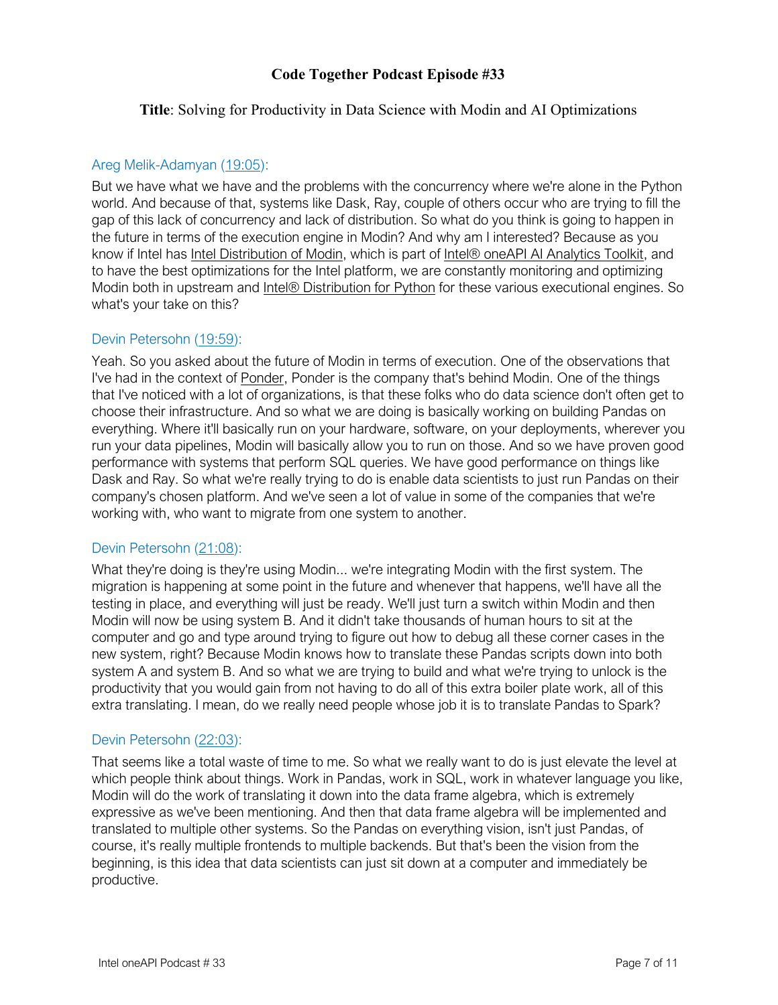### **Title**: Solving for Productivity in Data Science with Modin and AI Optimizations

### Areg Melik-Adamyan (19:05):

But we have what we have and the problems with the concurrency where we're alone in the Python world. And because of that, systems like Dask, Ray, couple of others occur who are trying to fill the gap of this lack of concurrency and lack of distribution. So what do you think is going to happen in the future in terms of the execution engine in Modin? And why am I interested? Because as you know if Intel has Intel Distribution of Modin, which is part of Intel® oneAPI AI Analytics Toolkit, and to have the best optimizations for the Intel platform, we are constantly monitoring and optimizing Modin both in upstream and Intel® Distribution for Python for these various executional engines. So what's your take on this?

# Devin Petersohn (19:59):

Yeah. So you asked about the future of Modin in terms of execution. One of the observations that I've had in the context of Ponder, Ponder is the company that's behind Modin. One of the things that I've noticed with a lot of organizations, is that these folks who do data science don't often get to choose their infrastructure. And so what we are doing is basically working on building Pandas on everything. Where it'll basically run on your hardware, software, on your deployments, wherever you run your data pipelines, Modin will basically allow you to run on those. And so we have proven good performance with systems that perform SQL queries. We have good performance on things like Dask and Ray. So what we're really trying to do is enable data scientists to just run Pandas on their company's chosen platform. And we've seen a lot of value in some of the companies that we're working with, who want to migrate from one system to another.

# Devin Petersohn (21:08):

What they're doing is they're using Modin... we're integrating Modin with the first system. The migration is happening at some point in the future and whenever that happens, we'll have all the testing in place, and everything will just be ready. We'll just turn a switch within Modin and then Modin will now be using system B. And it didn't take thousands of human hours to sit at the computer and go and type around trying to figure out how to debug all these corner cases in the new system, right? Because Modin knows how to translate these Pandas scripts down into both system A and system B. And so what we are trying to build and what we're trying to unlock is the productivity that you would gain from not having to do all of this extra boiler plate work, all of this extra translating. I mean, do we really need people whose job it is to translate Pandas to Spark?

# Devin Petersohn (22:03):

That seems like a total waste of time to me. So what we really want to do is just elevate the level at which people think about things. Work in Pandas, work in SQL, work in whatever language you like, Modin will do the work of translating it down into the data frame algebra, which is extremely expressive as we've been mentioning. And then that data frame algebra will be implemented and translated to multiple other systems. So the Pandas on everything vision, isn't just Pandas, of course, it's really multiple frontends to multiple backends. But that's been the vision from the beginning, is this idea that data scientists can just sit down at a computer and immediately be productive.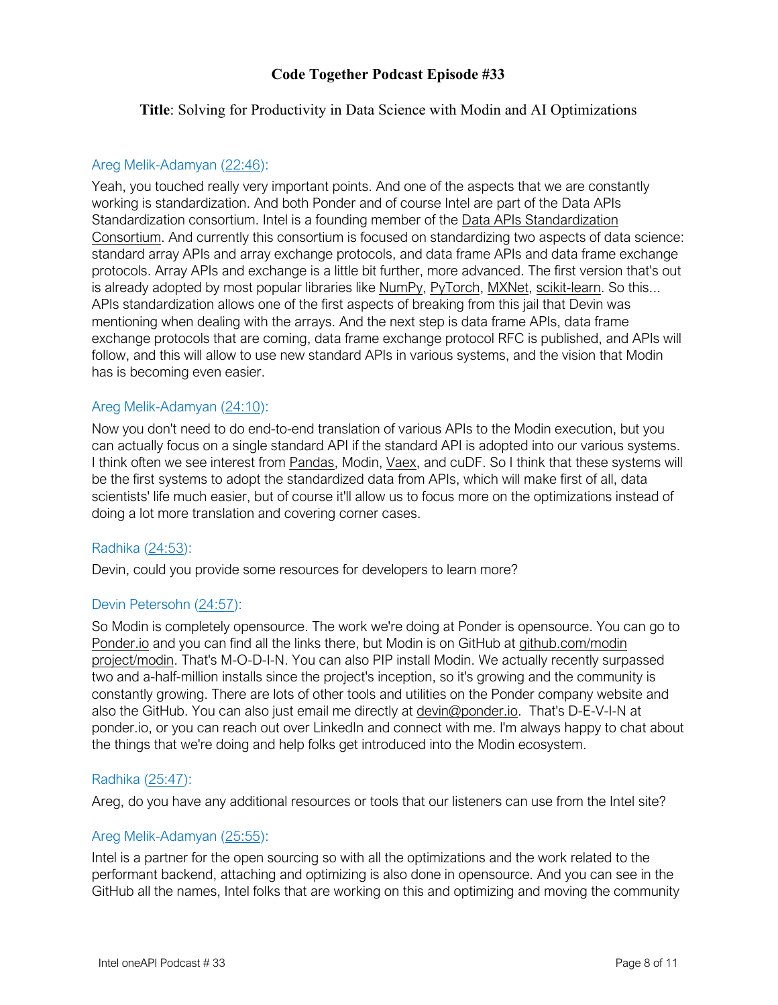### **Title**: Solving for Productivity in Data Science with Modin and AI Optimizations

#### Areg Melik-Adamyan (22:46):

Yeah, you touched really very important points. And one of the aspects that we are constantly working is standardization. And both Ponder and of course Intel are part of the Data APIs Standardization consortium. Intel is a founding member of the Data APIs Standardization Consortium. And currently this consortium is focused on standardizing two aspects of data science: standard array APIs and array exchange protocols, and data frame APIs and data frame exchange protocols. Array APIs and exchange is a little bit further, more advanced. The first version that's out is already adopted by most popular libraries like NumPy, PyTorch, MXNet, scikit-learn. So this... APIs standardization allows one of the first aspects of breaking from this jail that Devin was mentioning when dealing with the arrays. And the next step is data frame APIs, data frame exchange protocols that are coming, data frame exchange protocol RFC is published, and APIs will follow, and this will allow to use new standard APIs in various systems, and the vision that Modin has is becoming even easier.

### Areg Melik-Adamyan (24:10):

Now you don't need to do end-to-end translation of various APIs to the Modin execution, but you can actually focus on a single standard API if the standard API is adopted into our various systems. I think often we see interest from **Pandas**, Modin, Vaex, and cuDF. So I think that these systems will be the first systems to adopt the standardized data from APIs, which will make first of all, data scientists' life much easier, but of course it'll allow us to focus more on the optimizations instead of doing a lot more translation and covering corner cases.

#### Radhika (24:53):

Devin, could you provide some resources for developers to learn more?

#### Devin Petersohn (24:57):

So Modin is completely opensource. The work we're doing at Ponder is opensource. You can go to Ponder.io and you can find all the links there, but Modin is on GitHub at github.com/modin project/modin. That's M-O-D-I-N. You can also PIP install Modin. We actually recently surpassed two and a-half-million installs since the project's inception, so it's growing and the community is constantly growing. There are lots of other tools and utilities on the Ponder company website and also the GitHub. You can also just email me directly at devin@ponder.io. That's D-E-V-I-N at ponder.io, or you can reach out over LinkedIn and connect with me. I'm always happy to chat about the things that we're doing and help folks get introduced into the Modin ecosystem.

# Radhika (25:47):

Areg, do you have any additional resources or tools that our listeners can use from the Intel site?

#### Areg Melik-Adamyan (25:55):

Intel is a partner for the open sourcing so with all the optimizations and the work related to the performant backend, attaching and optimizing is also done in opensource. And you can see in the GitHub all the names, Intel folks that are working on this and optimizing and moving the community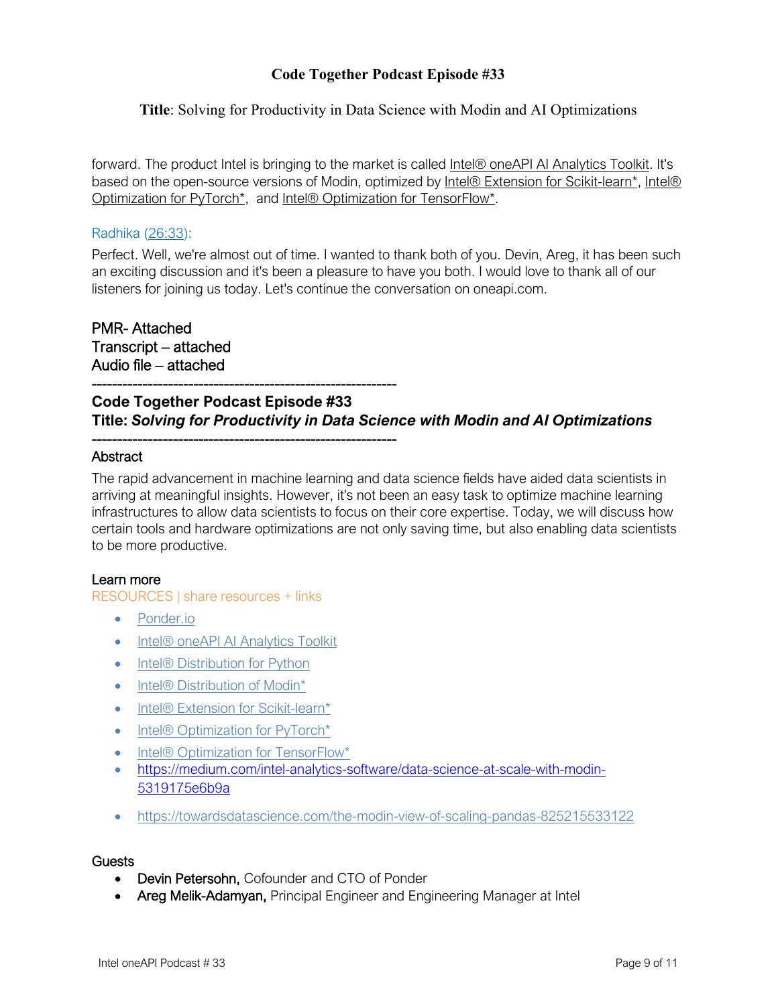### **Title**: Solving for Productivity in Data Science with Modin and AI Optimizations

forward. The product Intel is bringing to the market is called Intel® oneAPI AI Analytics Toolkit. It's based on the open-source versions of Modin, optimized by Intel® Extension for Scikit-learn\*, Intel® Optimization for PyTorch\*, and Intel® Optimization for TensorFlow\*.

#### Radhika (26:33):

Perfect. Well, we're almost out of time. I wanted to thank both of you. Devin, Areg, it has been such an exciting discussion and it's been a pleasure to have you both. I would love to thank all of our listeners for joining us today. Let's continue the conversation on oneapi.com.

PMR- Attached Transcript – attached Audio file – attached

# **Code Together Podcast Episode #33 Title:** *Solving for Productivity in Data Science with Modin and AI Optimizations*

### **Abstract**

The rapid advancement in machine learning and data science fields have aided data scientists in arriving at meaningful insights. However, it's not been an easy task to optimize machine learning infrastructures to allow data scientists to focus on their core expertise. Today, we will discuss how certain tools and hardware optimizations are not only saving time, but also enabling data scientists to be more productive.

#### Learn more

RESOURCES | share resources + links

- Ponder.io
- Intel® oneAPI AI Analytics Toolkit

------------------------------------------------------------

------------------------------------------------------------

- Intel® Distribution for Python
- Intel® Distribution of Modin<sup>\*</sup>
- Intel® Extension for Scikit-learn\*
- Intel® Optimization for PyTorch\*
- Intel® Optimization for TensorFlow\*
- https://medium.com/intel-analytics-software/data-science-at-scale-with-modin-5319175e6b9a
- https://towardsdatascience.com/the-modin-view-of-scaling-pandas-825215533122

#### **Guests**

- Devin Petersohn, Cofounder and CTO of Ponder
- Areg Melik-Adamyan, Principal Engineer and Engineering Manager at Intel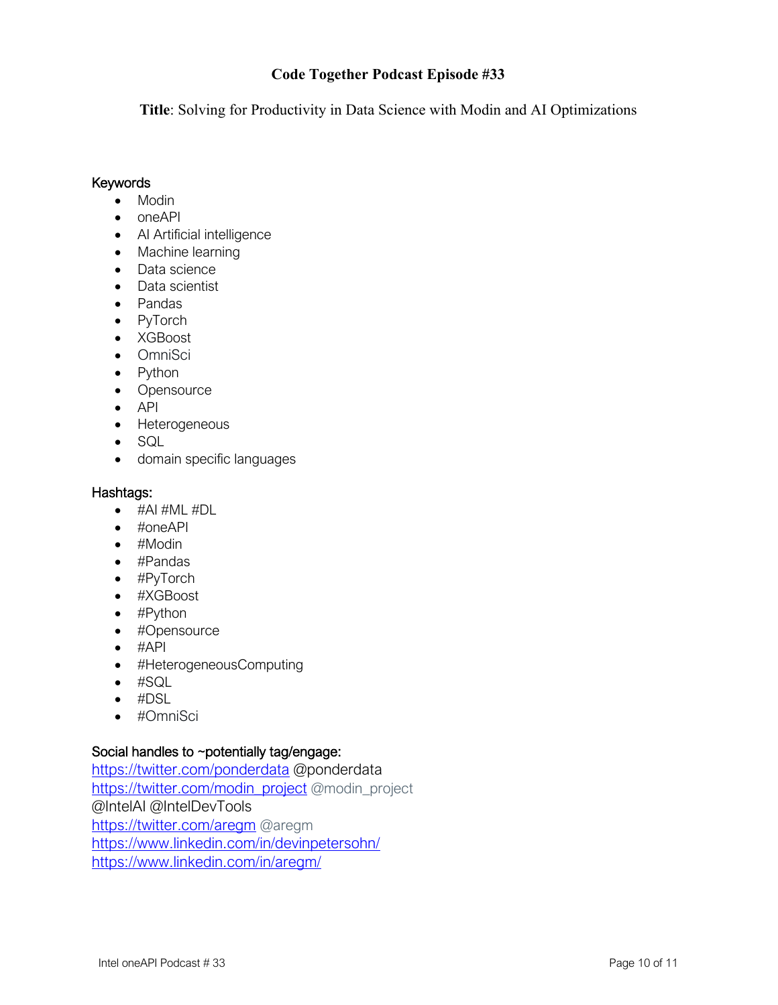**Title**: Solving for Productivity in Data Science with Modin and AI Optimizations

### **Keywords**

- Modin
- oneAPI
- AI Artificial intelligence
- Machine learning
- Data science
- Data scientist
- Pandas
- PyTorch
- XGBoost
- OmniSci
- Python
- Opensource
- API
- Heterogeneous
- SQL
- domain specific languages

### Hashtags:

- #AI #ML #DL
- #oneAPI
- #Modin
- #Pandas
- #PyTorch
- #XGBoost
- #Python
- #Opensource
- $\bullet$  #API
- #HeterogeneousComputing
- #SQL
- #DSL
- #OmniSci

# Social handles to ~potentially tag/engage:

https://twitter.com/ponderdata @ponderdata https://twitter.com/modin\_project @modin\_project @IntelAI @IntelDevTools https://twitter.com/aregm @aregm https://www.linkedin.com/in/devinpetersohn/ https://www.linkedin.com/in/aregm/